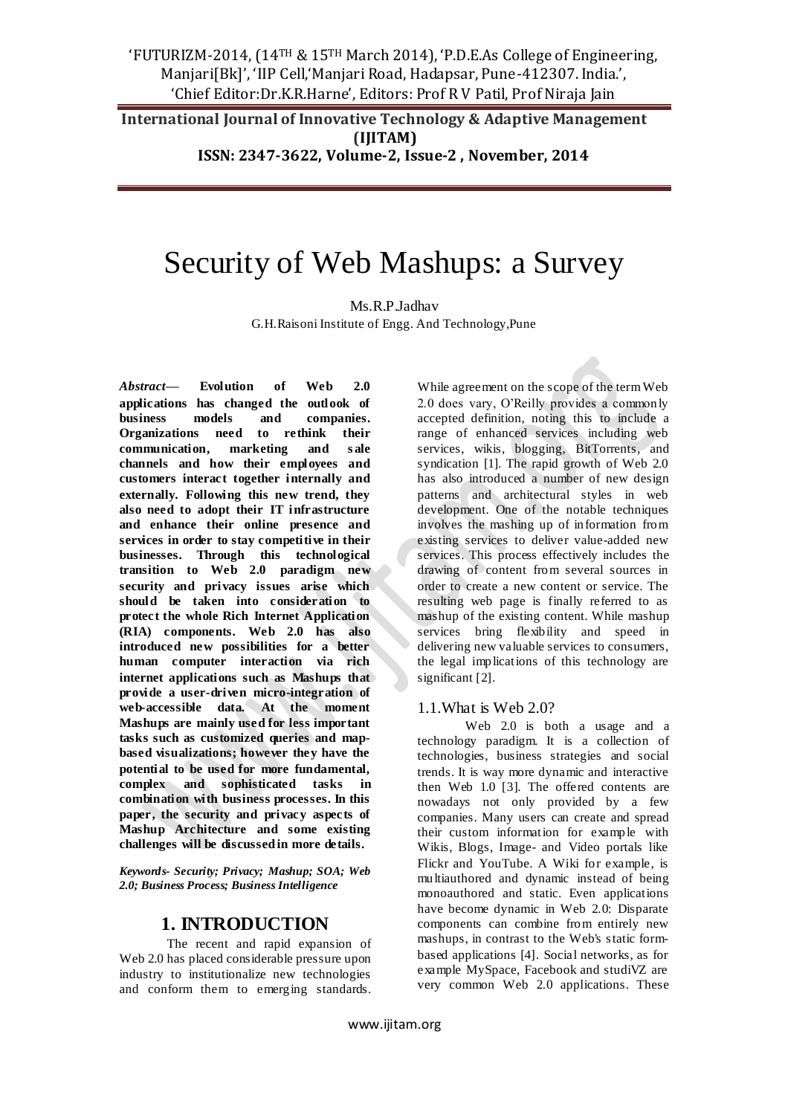**International Journal of Innovative Technology & Adaptive Management (IJITAM)**

**ISSN: 2347-3622, Volume-2, Issue-2 , November, 2014**

# Security of Web Mashups: a Survey

Ms.R.P.Jadhav

G.H.Raisoni Institute of Engg. And Technology,Pune

*Abstract***— Evolution of Web 2.0 applications has changed the outlook of business models and companies. Organizations need to rethink their communication, marketing and s ale channels and how their employees and customers interact together internally and externally. Following this new trend, they also need to adopt their IT infrastructure and enhance their online presence and services in order to stay competitive in their businesses. Through this technological transition to Web 2.0 paradigm new security and privacy issues arise which should be taken into consideration to protect the whole Rich Internet Application (RIA) components. Web 2.0 has also introduced new possibilities for a better human computer interaction via rich internet applications such as Mashups that provide a user-driven micro-integration of web-accessible data. At the moment Mashups are mainly used for less important tasks such as customized queries and mapbased visualizations; however they have the potential to be used for more fundamental, complex and sophisticated tasks in combination with business processes. In this paper, the security and privacy aspects of Mashup Architecture and some existing challenges will be discussed in more details.**

*Keywords- Security; Privacy; Mashup; SOA; Web 2.0; Business Process; Business Intelligence*

### **1. INTRODUCTION**

The recent and rapid expansion of Web 2.0 has placed considerable pressure upon industry to institutionalize new technologies and conform them to emerging standards. While agreement on the scope of the term Web 2.0 does vary, O'Reilly provides a commonly accepted definition, noting this to include a range of enhanced services including web services, wikis, blogging, BitTorrents, and syndication [1]. The rapid growth of Web 2.0 has also introduced a number of new design patterns and architectural styles in web development. One of the notable techniques involves the mashing up of information from existing services to deliver value-added new services. This process effectively includes the drawing of content from several sources in order to create a new content or service. The resulting web page is finally referred to as mashup of the existing content. While mashup services bring flexibility and speed in delivering new valuable services to consumers, the legal implications of this technology are significant [2].

#### 1.1.What is Web 2.0?

Web 2.0 is both a usage and a technology paradigm. It is a collection of technologies, business strategies and social trends. It is way more dynamic and interactive then Web 1.0 [3]. The offered contents are nowadays not only provided by a few companies. Many users can create and spread their custom information for example with Wikis, Blogs, Image- and Video portals like Flickr and YouTube. A Wiki for example, is multiauthored and dynamic instead of being monoauthored and static. Even applications have become dynamic in Web 2.0: Disparate components can combine from entirely new mashups, in contrast to the Web's static formbased applications [4]. Social networks, as for example MySpace, Facebook and studiVZ are very common Web 2.0 applications. These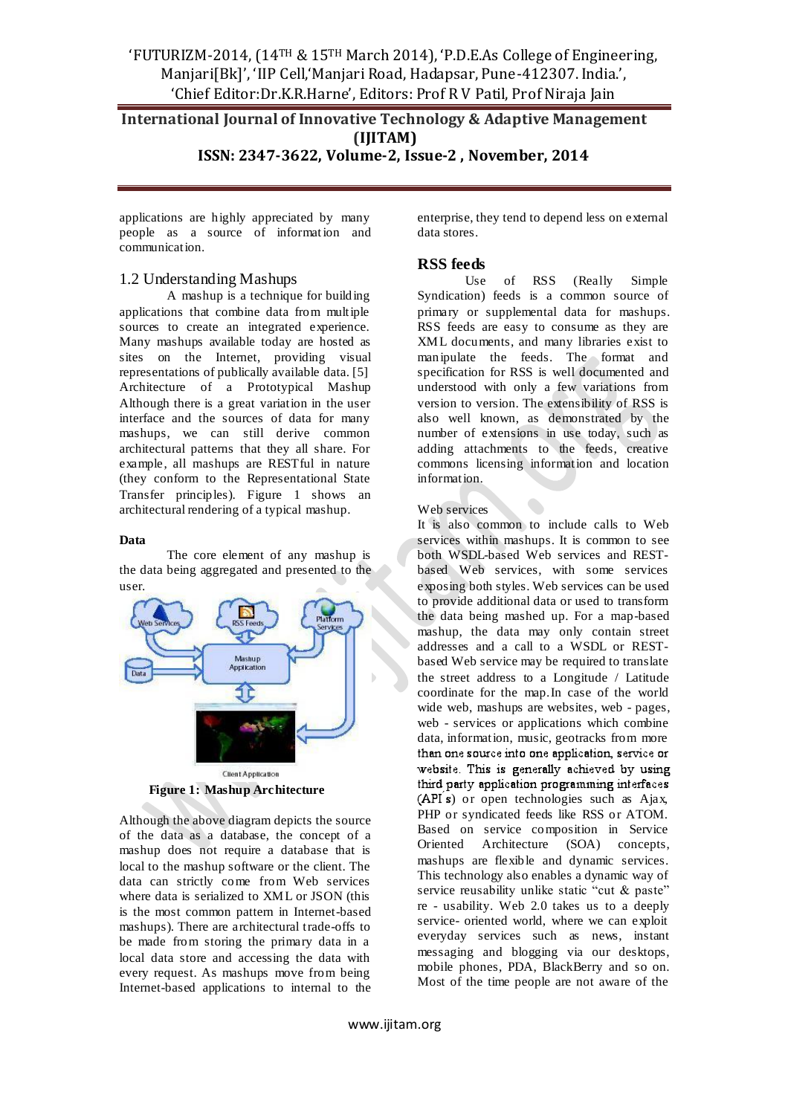## **International Journal of Innovative Technology & Adaptive Management (IJITAM)**

**ISSN: 2347-3622, Volume-2, Issue-2 , November, 2014**

applications are highly appreciated by many people as a source of informat ion and communication.

#### 1.2 Understanding Mashups

A mashup is a technique for building applications that combine data from multiple sources to create an integrated experience. Many mashups available today are hosted as sites on the Internet, providing visual representations of publically available data. [5] Architecture of a Prototypical Mashup Although there is a great variation in the user interface and the sources of data for many mashups, we can still derive common architectural patterns that they all share. For example, all mashups are RESTful in nature (they conform to the Representational State Transfer principles). Figure 1 shows an architectural rendering of a typical mashup.

#### **Data**

The core element of any mashup is the data being aggregated and presented to the user.



 **Figure 1: Mashup Architecture**

Although the above diagram depicts the source of the data as a database, the concept of a mashup does not require a database that is local to the mashup software or the client. The data can strictly come from Web services where data is serialized to XML or JSON (this is the most common pattern in Internet-based mashups). There are architectural trade-offs to be made from storing the primary data in a local data store and accessing the data with every request. As mashups move from being Internet-based applications to internal to the enterprise, they tend to depend less on external data stores.

#### **RSS feeds**

Use of RSS (Really Simple Syndication) feeds is a common source of primary or supplemental data for mashups. RSS feeds are easy to consume as they are XML documents, and many libraries exist to manipulate the feeds. The format and specification for RSS is well documented and understood with only a few variations from version to version. The extensibility of RSS is also well known, as demonstrated by the number of extensions in use today, such as adding attachments to the feeds, creative commons licensing information and location information.

#### Web services

It is also common to include calls to Web services within mashups. It is common to see both WSDL-based Web services and RESTbased Web services, with some services exposing both styles. Web services can be used to provide additional data or used to transform the data being mashed up. For a map-based mashup, the data may only contain street addresses and a call to a WSDL or RESTbased Web service may be required to translate the street address to a Longitude / Latitude coordinate for the map.In case of the world wide web, mashups are websites, web - pages, web - services or applications which combine data, information, music, geotracks from more than one source into one application, service or website. This is generally achieved by using third party application programming interfaces ) or open technologies such as Ajax, PHP or syndicated feeds like RSS or ATOM. Based on service composition in Service Oriented Architecture (SOA) concepts, mashups are flexible and dynamic services. This technology also enables a dynamic way of service reusability unlike static "cut & paste" re - usability. Web 2.0 takes us to a deeply service- oriented world, where we can exploit everyday services such as news, instant messaging and blogging via our desktops, mobile phones, PDA, BlackBerry and so on. Most of the time people are not aware of the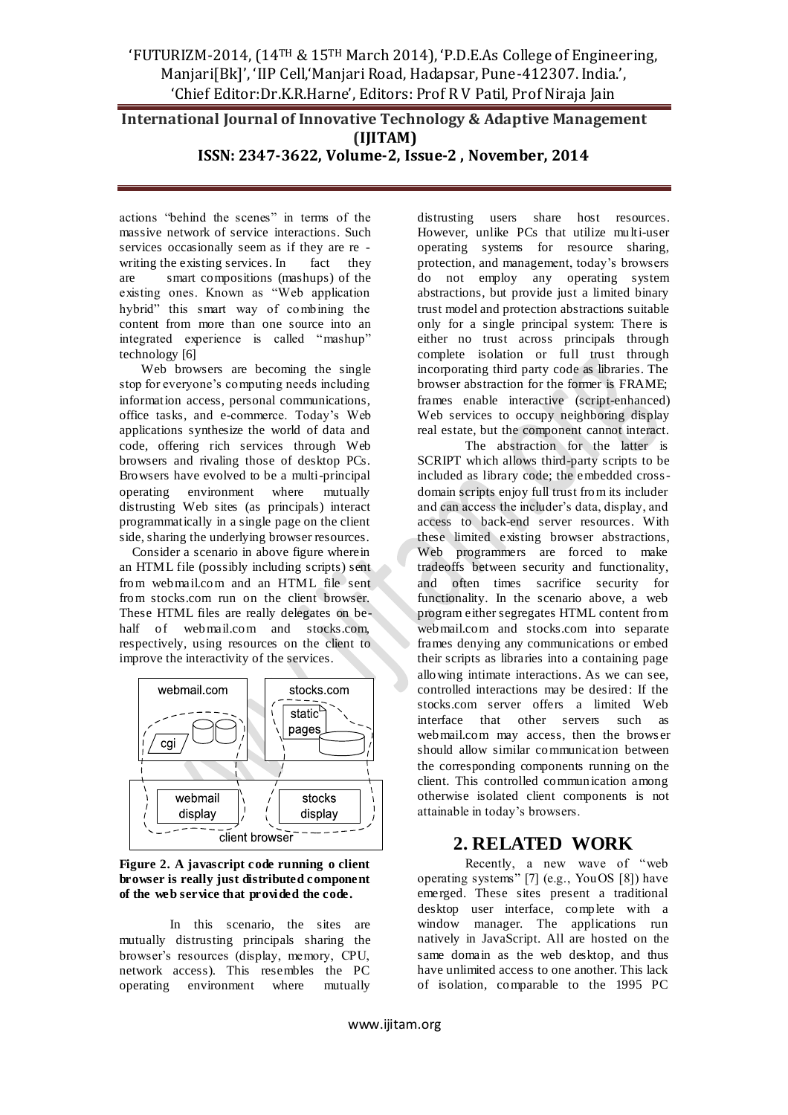# **International Journal of Innovative Technology & Adaptive Management (IJITAM)**

#### **ISSN: 2347-3622, Volume-2, Issue-2 , November, 2014**

actions "behind the scenes" in terms of the massive network of service interactions. Such services occasionally seem as if they are re writing the existing services. In fact they are smart compositions (mashups) of the existing ones. Known as "Web application hybrid" this smart way of combining the content from more than one source into an integrated experience is called "mashup" technology [6]

Web browsers are becoming the single stop for everyone's computing needs including information access, personal communications, office tasks, and e-commerce. Today's Web applications synthesize the world of data and code, offering rich services through Web browsers and rivaling those of desktop PCs. Browsers have evolved to be a multi-principal operating environment where mutually distrusting Web sites (as principals) interact programmatically in a single page on the client side, sharing the underlying browser resources.

 Consider a scenario in above figure wherein an HTML file (possibly including scripts) sent from webmail.com and an HTML file sent from stocks.com run on the client browser. These HTML files are really delegates on behalf of webmail.com and stocks.com, respectively, using resources on the client to improve the interactivity of the services.



**Figure 2. A javascript code running o client browser is really just distributed component of the web service that provided the code.** 

 In this scenario, the sites are mutually distrusting principals sharing the browser's resources (display, memory, CPU, network access). This resembles the PC operating environment where mutually

distrusting users share host resources. However, unlike PCs that utilize multi-user operating systems for resource sharing, protection, and management, today's browsers do not employ any operating system abstractions, but provide just a limited binary trust model and protection abstractions suitable only for a single principal system: There is either no trust across principals through complete isolation or full trust through incorporating third party code as libraries. The browser abstraction for the former is FRAME; frames enable interactive (script-enhanced) Web services to occupy neighboring display real estate, but the component cannot interact.

The abstraction for the latter is SCRIPT which allows third-party scripts to be included as library code; the embedded crossdomain scripts enjoy full trust from its includer and can access the includer's data, display, and access to back-end server resources. With these limited existing browser abstractions, Web programmers are forced to make tradeoffs between security and functionality, and often times sacrifice security for functionality. In the scenario above, a web program either segregates HTML content from webmail.com and stocks.com into separate frames denying any communications or embed their scripts as libraries into a containing page allowing intimate interactions. As we can see, controlled interactions may be desired: If the stocks.com server offers a limited Web interface that other servers such as webmail.com may access, then the brows er should allow similar communication between the corresponding components running on the client. This controlled communication among otherwise isolated client components is not attainable in today's browsers.

# **2. RELATED WORK**

Recently, a new wave of "web operating systems" [7] (e.g., YouOS [8]) have emerged. These sites present a traditional desktop user interface, complete with a window manager. The applications run natively in JavaScript. All are hosted on the same domain as the web desktop, and thus have unlimited access to one another. This lack of isolation, comparable to the 1995 PC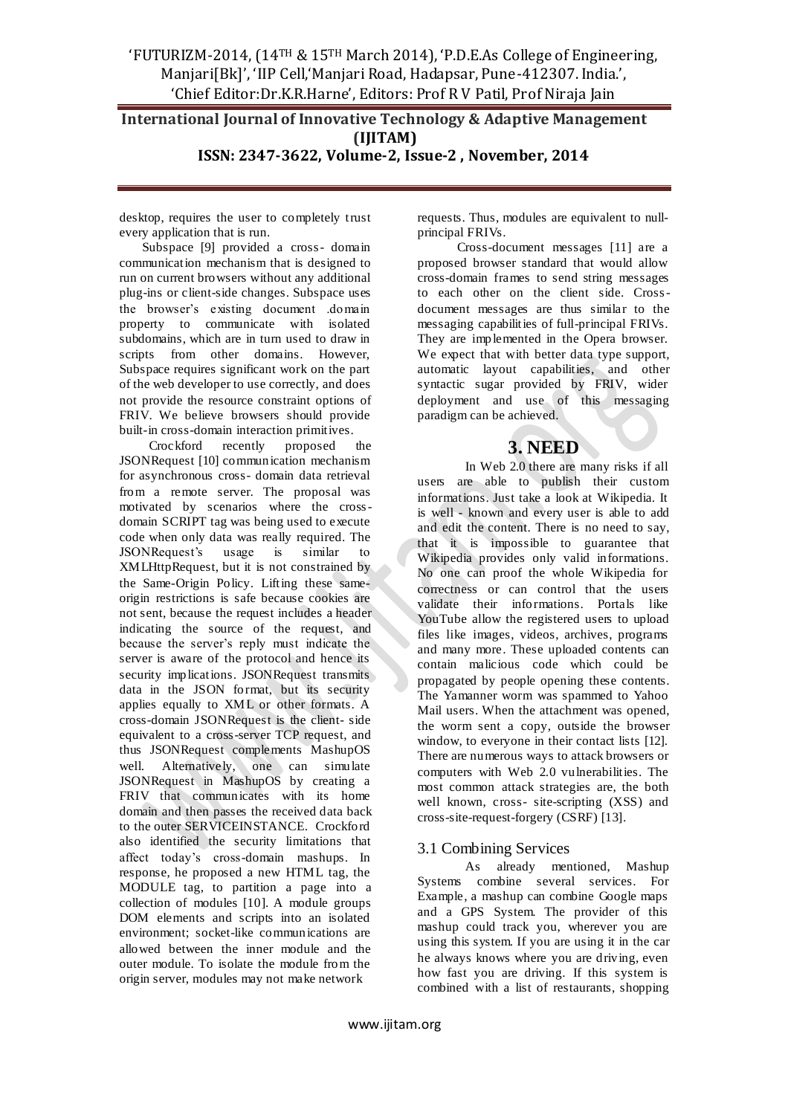# **International Journal of Innovative Technology & Adaptive Management (IJITAM)**

**ISSN: 2347-3622, Volume-2, Issue-2 , November, 2014**

desktop, requires the user to completely trust every application that is run.

 Subspace [9] provided a cross- domain communication mechanism that is designed to run on current browsers without any additional plug-ins or client-side changes. Subspace uses the browser's existing document .domain property to communicate with isolated subdomains, which are in turn used to draw in scripts from other domains. However, Subspace requires significant work on the part of the web developer to use correctly, and does not provide the resource constraint options of FRIV. We believe browsers should provide built-in cross-domain interaction primitives.

 Crockford recently proposed the JSONRequest [10] communication mechanism for asynchronous cross- domain data retrieval from a remote server. The proposal was motivated by scenarios where the crossdomain SCRIPT tag was being used to execute code when only data was really required. The JSONRequest's usage is similar to JSONRequest's usage is similar to XMLHttpRequest, but it is not constrained by the Same-Origin Policy. Lifting these sameorigin restrictions is safe because cookies are not sent, because the request includes a header indicating the source of the request, and because the server's reply must indicate the server is aware of the protocol and hence its security implications. JSONRequest transmits data in the JSON format, but its security applies equally to XML or other formats. A cross-domain JSONRequest is the client- side equivalent to a cross-server TCP request, and thus JSONRequest complements MashupOS well. Alternatively, one can simulate JSONRequest in MashupOS by creating a FRIV that communicates with its home domain and then passes the received data back to the outer SERVICEINSTANCE. Crockford also identified the security limitations that affect today's cross-domain mashups. In response, he proposed a new HTML tag, the MODULE tag, to partition a page into a collection of modules [10]. A module groups DOM elements and scripts into an isolated environment; socket-like communications are allowed between the inner module and the outer module. To isolate the module from the origin server, modules may not make network

requests. Thus, modules are equivalent to nullprincipal FRIVs.

 Cross-document messages [11] are a proposed browser standard that would allow cross-domain frames to send string messages to each other on the client side. Crossdocument messages are thus similar to the messaging capabilities of full-principal FRIVs. They are implemented in the Opera browser. We expect that with better data type support, automatic layout capabilities, and other syntactic sugar provided by FRIV, wider deployment and use of this messaging paradigm can be achieved.

## **3. NEED**

In Web 2.0 there are many risks if all users are able to publish their custom informations. Just take a look at Wikipedia. It is well - known and every user is able to add and edit the content. There is no need to say, that it is impossible to guarantee that Wikipedia provides only valid informations. No one can proof the whole Wikipedia for correctness or can control that the users validate their informations. Portals like YouTube allow the registered users to upload files like images, videos, archives, programs and many more. These uploaded contents can contain malicious code which could be propagated by people opening these contents. The Yamanner worm was spammed to Yahoo Mail users. When the attachment was opened, the worm sent a copy, outside the browser window, to everyone in their contact lists [12]. There are numerous ways to attack browsers or computers with Web 2.0 vulnerabilities. The most common attack strategies are, the both well known, cross- site-scripting (XSS) and cross-site-request-forgery (CSRF) [13].

### 3.1 Combining Services

As already mentioned, Mashup Systems combine several services. For Example, a mashup can combine Google maps and a GPS System. The provider of this mashup could track you, wherever you are using this system. If you are using it in the car he always knows where you are driving, even how fast you are driving. If this system is combined with a list of restaurants, shopping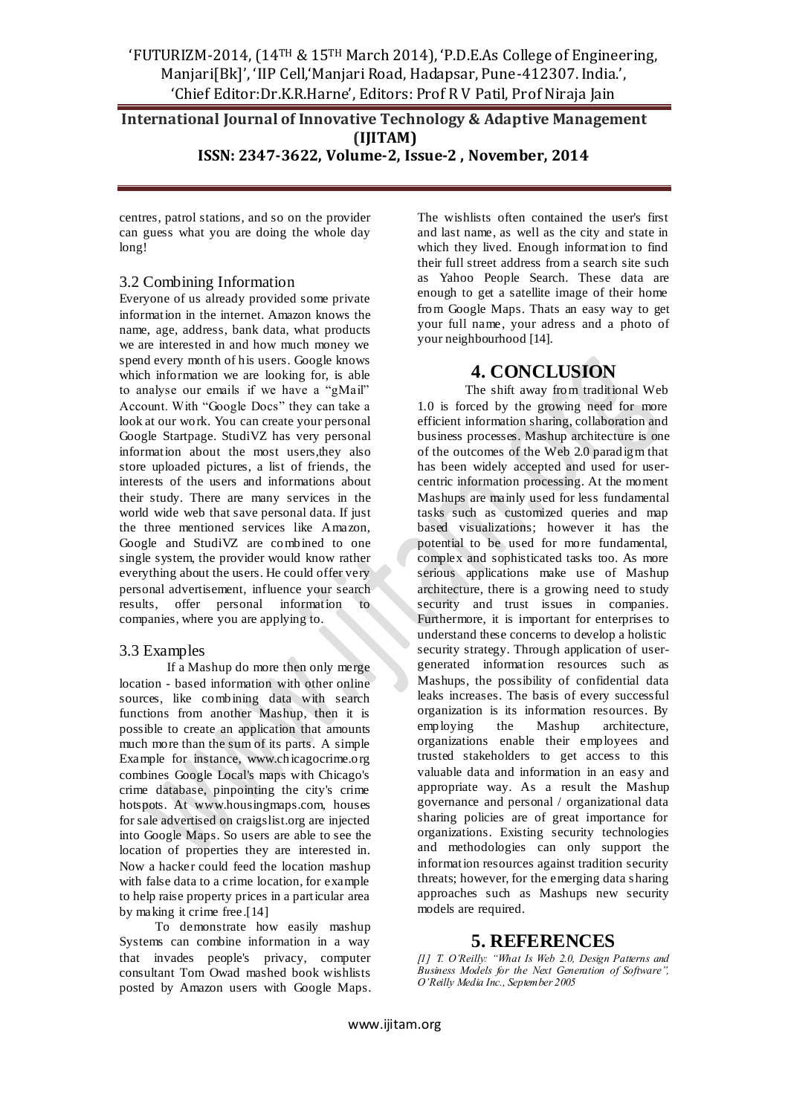# **International Journal of Innovative Technology & Adaptive Management (IJITAM)**

**ISSN: 2347-3622, Volume-2, Issue-2 , November, 2014**

centres, patrol stations, and so on the provider can guess what you are doing the whole day long!

#### 3.2 Combining Information

Everyone of us already provided some private information in the internet. Amazon knows the name, age, address, bank data, what products we are interested in and how much money we spend every month of his users. Google knows which information we are looking for, is able to analyse our emails if we have a "gMail" Account. With "Google Docs" they can take a look at our work. You can create your personal Google Startpage. StudiVZ has very personal information about the most users,they also store uploaded pictures, a list of friends, the interests of the users and informations about their study. There are many services in the world wide web that save personal data. If just the three mentioned services like Amazon, Google and StudiVZ are combined to one single system, the provider would know rather everything about the users. He could offer very personal advertisement, influence your search results, offer personal information to companies, where you are applying to.

#### 3.3 Examples

If a Mashup do more then only merge location - based information with other online sources, like combining data with search functions from another Mashup, then it is possible to create an application that amounts much more than the sum of its parts. A simple Example for instance, www.chicagocrime.org combines Google Local's maps with Chicago's crime database, pinpointing the city's crime hotspots. At www.housingmaps.com, houses for sale advertised on craigslist.org are injected into Google Maps. So users are able to see the location of properties they are interested in. Now a hacker could feed the location mashup with false data to a crime location, for example to help raise property prices in a particular area by making it crime free.[14]

 To demonstrate how easily mashup Systems can combine information in a way that invades people's privacy, computer consultant Tom Owad mashed book wishlists posted by Amazon users with Google Maps. The wishlists often contained the user's first and last name, as well as the city and state in which they lived. Enough information to find their full street address from a search site such as Yahoo People Search. These data are enough to get a satellite image of their home from Google Maps. Thats an easy way to get your full name, your adress and a photo of your neighbourhood [14].

# **4. CONCLUSION**

The shift away from traditional Web 1.0 is forced by the growing need for more efficient information sharing, collaboration and business processes. Mashup architecture is one of the outcomes of the Web 2.0 paradigm that has been widely accepted and used for usercentric information processing. At the moment Mashups are mainly used for less fundamental tasks such as customized queries and map based visualizations; however it has the potential to be used for more fundamental, complex and sophisticated tasks too. As more serious applications make use of Mashup architecture, there is a growing need to study security and trust issues in companies. Furthermore, it is important for enterprises to understand these concerns to develop a holistic security strategy. Through application of usergenerated information resources such as Mashups, the possibility of confidential data leaks increases. The basis of every successful organization is its information resources. By employing the Mashup architecture, organizations enable their employees and trusted stakeholders to get access to this valuable data and information in an easy and appropriate way. As a result the Mashup governance and personal / organizational data sharing policies are of great importance for organizations. Existing security technologies and methodologies can only support the information resources against tradition security threats; however, for the emerging data sharing approaches such as Mashups new security models are required.

## **5. REFERENCES**

*[1] T. O'Reilly: "What Is Web 2.0, Design Patterns and Business Models for the Next Generation of Software", O'Reilly Media Inc., September 2005*